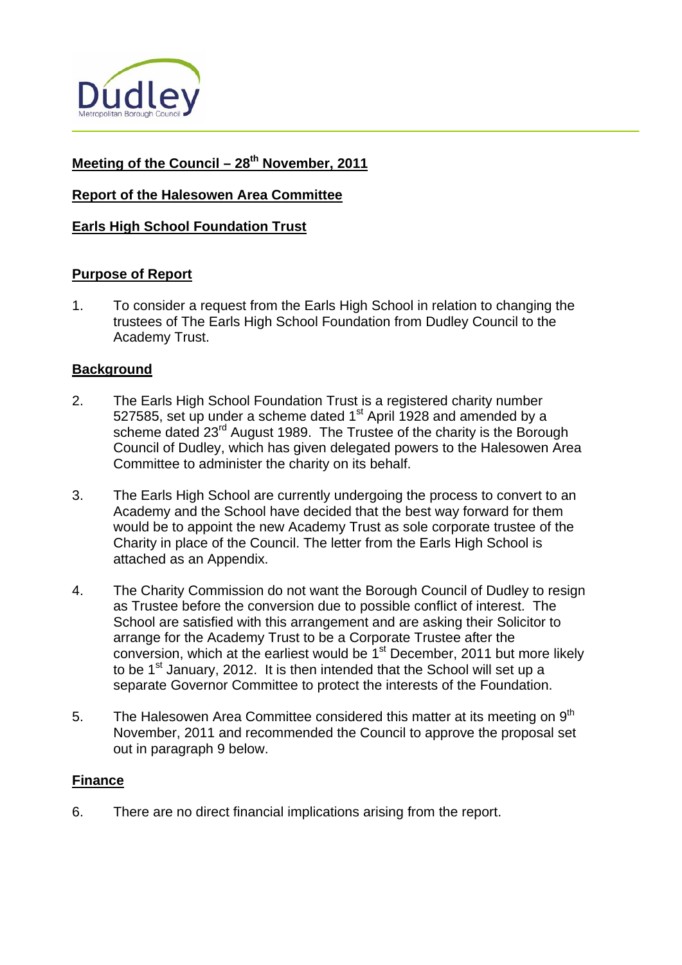

# Meeting of the Council – 28<sup>th</sup> November, 2011

# **Report of the Halesowen Area Committee**

### **Earls High School Foundation Trust**

#### **Purpose of Report**

1. To consider a request from the Earls High School in relation to changing the trustees of The Earls High School Foundation from Dudley Council to the Academy Trust.

#### **Background**

- 2. The Earls High School Foundation Trust is a registered charity number 527585, set up under a scheme dated  $1<sup>st</sup>$  April 1928 and amended by a scheme dated 23<sup>rd</sup> August 1989. The Trustee of the charity is the Borough Council of Dudley, which has given delegated powers to the Halesowen Area Committee to administer the charity on its behalf.
- 3. The Earls High School are currently undergoing the process to convert to an Academy and the School have decided that the best way forward for them would be to appoint the new Academy Trust as sole corporate trustee of the Charity in place of the Council. The letter from the Earls High School is attached as an Appendix.
- 4. The Charity Commission do not want the Borough Council of Dudley to resign as Trustee before the conversion due to possible conflict of interest. The School are satisfied with this arrangement and are asking their Solicitor to arrange for the Academy Trust to be a Corporate Trustee after the conversion, which at the earliest would be  $1<sup>st</sup>$  December, 2011 but more likely to be  $1<sup>st</sup>$  January, 2012. It is then intended that the School will set up a separate Governor Committee to protect the interests of the Foundation.
- 5. The Halesowen Area Committee considered this matter at its meeting on  $9<sup>th</sup>$ November, 2011 and recommended the Council to approve the proposal set out in paragraph 9 below.

#### **Finance**

6. There are no direct financial implications arising from the report.